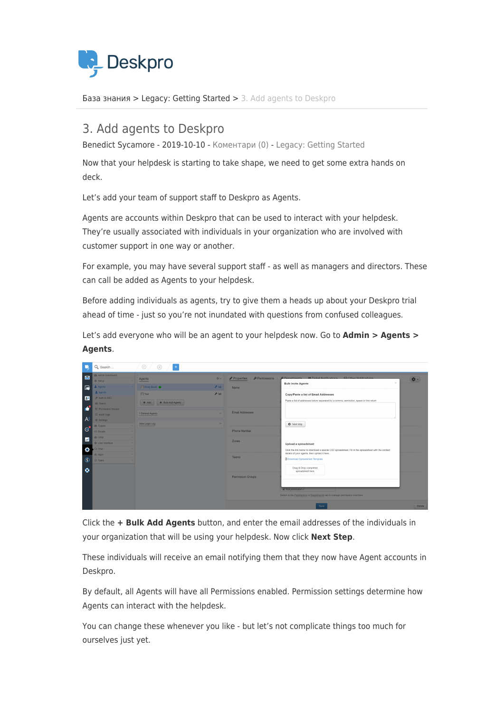

[База знания](https://support.deskpro.com/bg/kb) > [Legacy: Getting Started](https://support.deskpro.com/bg/kb/legacy-getting-started) > [3. Add agents to Deskpro](https://support.deskpro.com/bg/kb/articles/3-add-agents-to-deskpro)

## 3. Add agents to Deskpro

Benedict Sycamore - 2019-10-10 - [Коментари \(0\)](#page--1-0) - [Legacy: Getting Started](https://support.deskpro.com/bg/kb/legacy-getting-started)

Now that your helpdesk is starting to take shape, we need to get some extra hands on deck.

Let's add your team of support staff to Deskpro as Agents.

Agents are accounts within Deskpro that can be used to interact with your helpdesk. They're usually associated with individuals in your organization who are involved with customer support in one way or another.

For example, you may have several support staff - as well as managers and directors. These can call be added as Agents to your helpdesk.

Before adding individuals as agents, try to give them a heads up about your Deskpro trial ahead of time - just so you're not inundated with questions from confused colleagues.

Let's add everyone who will be an agent to your helpdesk now. Go to **Admin > Agents > Agents**.

| g              | Q Search                                                        | $\odot$<br>$\pm$<br>$\bigoplus$                  |                         |                           |                                                                                                                                                                                                |              |
|----------------|-----------------------------------------------------------------|--------------------------------------------------|-------------------------|---------------------------|------------------------------------------------------------------------------------------------------------------------------------------------------------------------------------------------|--------------|
| $\blacksquare$ | @ Admin Dashboard<br><b>#</b> Setup                             | Agents                                           | ☆→                      | Permissions<br>Properties | <b>C.Departments  as Ticket Notifications  53 Other Notifications</b><br>$\mathcal{H}^-$<br><b>Bulk Invite Agents</b>                                                                          | $\mathbf{Q}$ |
| 區              | & Agents<br>Agents                                              | Emily Booth                                      | 大田                      | Name                      |                                                                                                                                                                                                |              |
| $\mathbf{B}$   | P Auth & SSO<br><b>484 Teams</b>                                | <b>Fill Test</b><br>+ Bulk Add Agents<br>$+$ Add | 戶回                      |                           | Copy/Paste a list of Email Addresses<br>Paste a list of addresses below separated by a comma, semicolon, space or line return                                                                  |              |
| ď<br> A        | <b>D</b> Permission Groups<br>E Audit Logs<br><b>C</b> Settings | 1 Deleted Agents                                 | $\overline{\mathbf{v}}$ | Email Addresses           |                                                                                                                                                                                                |              |
| $\mathcal{C}$  | <b>B</b> Tickets<br><b>Sil</b> Emails                           | View Login Log                                   |                         | Phone Number              | C Next step                                                                                                                                                                                    |              |
| $\blacksquare$ | <b>US CRM</b><br><b>@ User Interface</b>                        |                                                  |                         | Zones                     | Upload a spreadsheet                                                                                                                                                                           |              |
| ō<br>$\odot$   | <b>Q<sub>2</sub></b> Chat<br>& Apps<br>⊘ Tasks                  |                                                  |                         | Teams                     | Click the link below to download a special CSV spreadsheet. Fill in the spreadsheet with the contact<br>details of your agents, then upload it here.<br><b>B</b> Download Spreadsheet Template |              |
| $\bullet$      |                                                                 |                                                  |                         | Permission Groups         | Drag & Drop completed<br>spreadsheet here<br>V Test permission<br>Switch to the Permissions or Departments tab to manage permission overrides.                                                 |              |
|                |                                                                 |                                                  |                         |                           | Save                                                                                                                                                                                           | Delete       |

Click the **+ Bulk Add Agents** button, and enter the email addresses of the individuals in your organization that will be using your helpdesk. Now click **Next Step**.

These individuals will receive an email notifying them that they now have Agent accounts in Deskpro.

By default, all Agents will have all Permissions enabled. Permission settings determine how Agents can interact with the helpdesk.

You can change these whenever you like - but let's not complicate things too much for ourselves just yet.